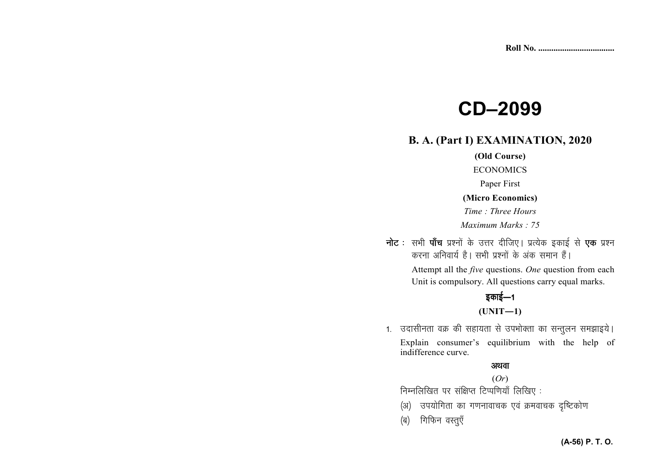# **CD-2099**

# **B. A. (Part I) EXAMINATION, 2020**

#### (Old Course)

#### **ECONOMICS**

Paper First

#### (Micro Economics)

Time: Three Hours Maximum Marks: 75

नोट : सभी पाँच प्रश्नों के उत्तर दीजिए। प्रत्येक इकाई से एक प्रश्न करना अनिवार्य है। सभी प्रश्नों के अंक समान हैं।

> Attempt all the *five* questions. One question from each Unit is compulsory. All questions carry equal marks.

# इकाई—1  $(UNIT-1)$

1. उदासीनता वक्र की सहायता से उपभोक्ता का सन्तुलन समझाइये। Explain consumer's equilibrium with the help of indifference curve.

#### अथवा

## $(Or)$

निम्नलिखित पर संक्षिप्त टिप्पणियाँ लिखिए:

- (अ) उपयोगिता का गणनावाचक एवं क्रमवाचक दृष्टिकोण
- (ब) गिफिन वस्तुएँ